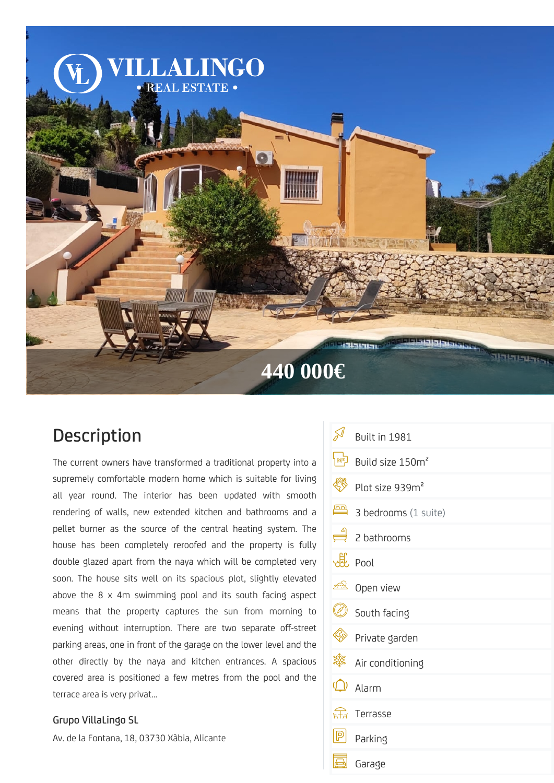

## Description

The current owners have transformed a traditional property into a supremely comfortable modern home which is suitable for living all year round. The interior has been updated with smooth rendering of walls, new extended kitchen and bathrooms and a pellet burner as the source of the central heating system. The house has been completely reroofed and the property is fully double glazed apart from the naya which will be completed very soon. The house sits well on its spacious plot, slightly elevated above the 8 x 4m swimming pool and its south facing aspect means that the property captures the sun from morning to evening without interruption. There are two separate off-street parking areas, one in front of the garage on the lower level and the other directly by the naya and kitchen entrances. A spacious covered area is positioned a few metres from the pool and the terrace area is very privat...

## Grupo VillaLingo SL

Av. de la Fontana, 18, 03730 Xàbia, Alicante

| ℅<br>Built in 1981                                         |  |
|------------------------------------------------------------|--|
| $\sqrt{M^2}$ Build size 150m <sup>2</sup>                  |  |
| <sub>像</sub><br>S <sup>≫</sup> Plot size 939m <sup>2</sup> |  |
| $\overline{\mathbb{R}}$ 3 bedrooms (1 suite)               |  |
| $\Rightarrow$ 2 bathrooms                                  |  |
| 、既 Pool                                                    |  |
| Open view                                                  |  |
| South facing                                               |  |
| Private garden                                             |  |
| <b>***</b> Air conditioning                                |  |
| (①)<br>Alarm                                               |  |
| $\overleftrightarrow{H}$ Terrasse                          |  |
| P Parking                                                  |  |
| اڪ<br>Garage                                               |  |